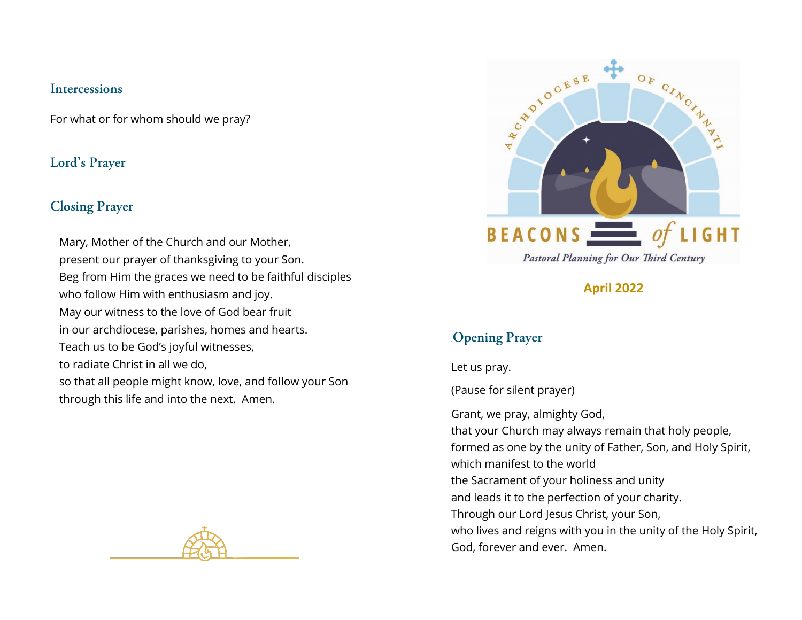#### **Intercessions**

For what or for whom should we pray?

## **Lord's Prayer**

## **Closing Prayer**

Mary, Mother of the Church and our Mother, present our prayer of thanksgiving to your Son. Beg from Him the graces we need to be faithful disciples who follow Him with enthusiasm and joy. May our witness to the love of God bear fruit in our archdiocese, parishes, homes and hearts. Teach us to be God's joyful witnesses, to radiate Christ in all we do, so that all people might know, love, and follow your Son through this life and into the next. Amen.





**April 2022**

# .**Opening Prayer**

Let us pray.

(Pause for silent prayer)

Grant, we pray, almighty God, that your Church may always remain that holy people, formed as one by the unity of Father, Son, and Holy Spirit, which manifest to the world the Sacrament of your holiness and unity and leads it to the perfection of your charity. Through our Lord Jesus Christ, your Son, who lives and reigns with you in the unity of the Holy Spirit, God, forever and ever. Amen.